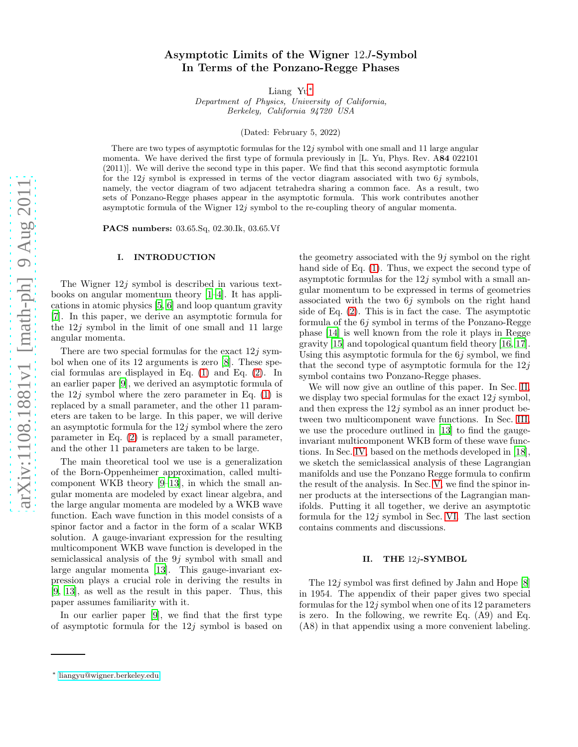# Asymptotic Limits of the Wigner 12J-Symbol In Terms of the Ponzano-Regge Phases

Liang Yu[∗](#page-0-0)

Department of Physics, University of California, Berkeley, California 94720 USA

(Dated: February 5, 2022)

There are two types of asymptotic formulas for the  $12j$  symbol with one small and 11 large angular momenta. We have derived the first type of formula previously in [L. Yu, Phys. Rev. A84 022101 (2011)]. We will derive the second type in this paper. We find that this second asymptotic formula for the 12j symbol is expressed in terms of the vector diagram associated with two  $6j$  symbols, namely, the vector diagram of two adjacent tetrahedra sharing a common face. As a result, two sets of Ponzano-Regge phases appear in the asymptotic formula. This work contributes another asymptotic formula of the Wigner 12j symbol to the re-coupling theory of angular momenta.

PACS numbers: 03.65.Sq, 02.30.Ik, 03.65.Vf

## I. INTRODUCTION

The Wigner  $12j$  symbol is described in various textbooks on angular momentum theory [\[1](#page-12-0)[–4\]](#page-12-1). It has applications in atomic physics [\[5,](#page-12-2) [6\]](#page-12-3) and loop quantum gravity [\[7\]](#page-12-4). In this paper, we derive an asymptotic formula for the 12j symbol in the limit of one small and 11 large angular momenta.

There are two special formulas for the exact  $12j$  symbol when one of its 12 arguments is zero [\[8](#page-12-5)]. These special formulas are displayed in Eq. [\(1\)](#page-1-0) and Eq. [\(2\)](#page-1-1). In an earlier paper [\[9\]](#page-12-6), we derived an asymptotic formula of the  $12j$  symbol where the zero parameter in Eq.  $(1)$  is replaced by a small parameter, and the other 11 parameters are taken to be large. In this paper, we will derive an asymptotic formula for the  $12j$  symbol where the zero parameter in Eq. [\(2\)](#page-1-1) is replaced by a small parameter, and the other 11 parameters are taken to be large.

The main theoretical tool we use is a generalization of the Born-Oppenheimer approximation, called multicomponent WKB theory [\[9](#page-12-6)[–13\]](#page-12-7), in which the small angular momenta are modeled by exact linear algebra, and the large angular momenta are modeled by a WKB wave function. Each wave function in this model consists of a spinor factor and a factor in the form of a scalar WKB solution. A gauge-invariant expression for the resulting multicomponent WKB wave function is developed in the semiclassical analysis of the 9j symbol with small and large angular momenta [\[13](#page-12-7)]. This gauge-invariant expression plays a crucial role in deriving the results in [\[9,](#page-12-6) [13\]](#page-12-7), as well as the result in this paper. Thus, this paper assumes familiarity with it.

In our earlier paper [\[9\]](#page-12-6), we find that the first type of asymptotic formula for the  $12j$  symbol is based on

the geometry associated with the  $9j$  symbol on the right hand side of Eq. [\(1\)](#page-1-0). Thus, we expect the second type of asymptotic formulas for the  $12j$  symbol with a small angular momentum to be expressed in terms of geometries associated with the two 6j symbols on the right hand side of Eq. [\(2\)](#page-1-1). This is in fact the case. The asymptotic formula of the 6j symbol in terms of the Ponzano-Regge phase [\[14\]](#page-12-8) is well known from the role it plays in Regge gravity [\[15\]](#page-12-9) and topological quantum field theory [\[16](#page-12-10), [17\]](#page-12-11). Using this asymptotic formula for the  $6j$  symbol, we find that the second type of asymptotic formula for the  $12j$ symbol contains two Ponzano-Regge phases.

We will now give an outline of this paper. In Sec. [II,](#page-0-1) we display two special formulas for the exact  $12j$  symbol, and then express the  $12j$  symbol as an inner product between two multicomponent wave functions. In Sec. [III,](#page-2-0) we use the procedure outlined in [\[13](#page-12-7)] to find the gaugeinvariant multicomponent WKB form of these wave functions. In Sec. [IV,](#page-5-0) based on the methods developed in [\[18\]](#page-12-12), we sketch the semiclassical analysis of these Lagrangian manifolds and use the Ponzano Regge formula to confirm the result of the analysis. In Sec. [V,](#page-9-0) we find the spinor inner products at the intersections of the Lagrangian manifolds. Putting it all together, we derive an asymptotic formula for the  $12j$  symbol in Sec. [VI.](#page-10-0) The last section contains comments and discussions.

## <span id="page-0-1"></span>II. THE 12j-SYMBOL

The 12j symbol was first defined by Jahn and Hope [\[8](#page-12-5)] in 1954. The appendix of their paper gives two special formulas for the  $12j$  symbol when one of its 12 parameters is zero. In the following, we rewrite Eq. (A9) and Eq. (A8) in that appendix using a more convenient labeling.

<span id="page-0-0"></span><sup>∗</sup> [liangyu@wigner.berkeley.edu](mailto:liangyu@wigner.berkeley.edu)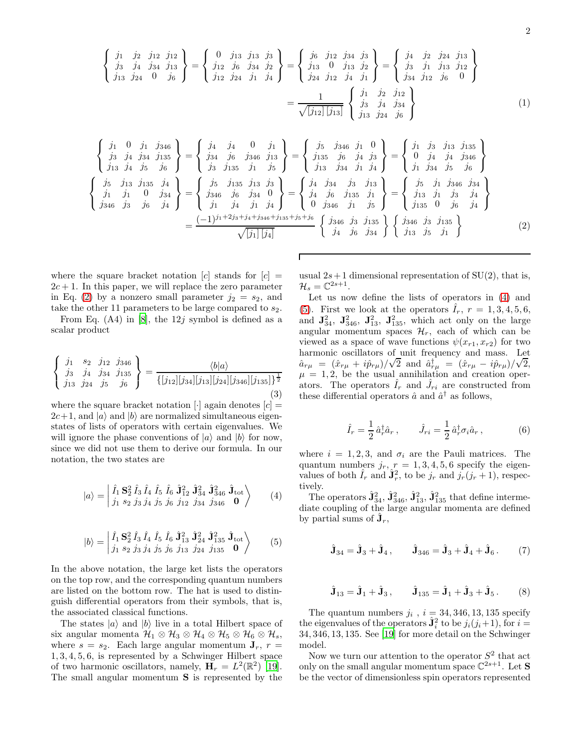<span id="page-1-0"></span>
$$
\begin{Bmatrix}\nj_1 & j_2 & j_{12} & j_{12} \\
j_3 & j_4 & j_{34} & j_{13} \\
j_{13} & j_{24} & 0 & j_6\n\end{Bmatrix} = \begin{Bmatrix}\n0 & j_{13} & j_{13} & j_3 \\
j_{12} & j_6 & j_{34} & j_2 \\
j_{12} & j_{24} & j_1 & j_4\n\end{Bmatrix} = \begin{Bmatrix}\nj_6 & j_{12} & j_{34} & j_3 \\
j_{13} & 0 & j_{13} & j_2 \\
j_{24} & j_{12} & j_4 & j_1\n\end{Bmatrix} = \begin{Bmatrix}\nj_4 & j_2 & j_{24} & j_{13} \\
j_3 & j_1 & j_{13} & j_{12} \\
j_{34} & j_{12} & j_6 & 0\n\end{Bmatrix} = \frac{1}{\sqrt{[j_{12}][j_{13}]}} \begin{Bmatrix}\nj_1 & j_2 & j_{12} \\
j_3 & j_4 & j_{34} \\
j_{13} & j_{24} & j_6\n\end{Bmatrix}
$$
\n(1)

<span id="page-1-1"></span>
$$
\begin{Bmatrix}\nj_1 & 0 & j_1 & j_{346} \\
j_3 & j_4 & j_{34} & j_{135} \\
j_{13} & j_4 & j_5 & j_6\n\end{Bmatrix} = \begin{Bmatrix}\nj_4 & j_4 & 0 & j_1 \\
j_{34} & j_6 & j_{346} & j_{13} \\
j_3 & j_{135} & j_1 & j_5 \\
j_3 & j_{135} & j_1 & j_5\n\end{Bmatrix} = \begin{Bmatrix}\nj_5 & j_{346} & j_1 & 0 \\
j_{135} & j_6 & j_4 & j_3 \\
j_{13} & j_3 & j_1 & j_4 \\
j_{13} & j_3 & j_1 & j_4\n\end{Bmatrix} = \begin{Bmatrix}\nj_5 & j_{346} & j_1 & 0 \\
j_{135} & j_6 & j_4 & j_3 \\
j_{13} & j_3 & j_1 & j_4 \\
j_{13} & j_3 & j_1 & j_5\n\end{Bmatrix} = \begin{Bmatrix}\nj_5 & j_{135} & j_{135} \\
j_{135} & j_6 & j_{135} & j_{13} \\
j_{135} & j_7 & j_7 \\
j_{135} & j_8 & j_1 \\
j_{135} & j_1 & j_3\n\end{Bmatrix} = \begin{Bmatrix}\nj_4 & j_3 & j_1 & j_3 \\
j_1 & j_4 & j_5 \\
j_1 & j_4 & j_1 & j_4 \\
j_1 & j_4 & j_1 & j_4\n\end{Bmatrix} = \begin{Bmatrix}\nj_4 & j_3 & j_1 & j_3 \\
j_4 & j_6 & j_{135} & j_1 \\
j_1 & j_5 & j_1 & j_5 \\
j_{135} & j_1 & j_5 & j_1\n\end{Bmatrix} = \begin{Bmatrix}\nj_5 & j_1 & j_3 & j_1 & j_3 \\
j_1 & j_3 & j_4 & j_5 \\
j_{135} & j_1 & j_5 & j_1 \\
j_{13} & j_5 & j_1 & j_5\n\end{Bmatrix}
$$
 (2)

where the square bracket notation  $[c]$  stands for  $[c]$  =  $2c + 1$ . In this paper, we will replace the zero parameter in Eq. [\(2\)](#page-1-1) by a nonzero small parameter  $j_2 = s_2$ , and take the other 11 parameters to be large compared to  $s_2$ .

From Eq.  $(A4)$  in [\[8](#page-12-5)], the 12*j* symbol is defined as a scalar product

<span id="page-1-6"></span>
$$
\begin{Bmatrix} j_1 & s_2 & j_{12} & j_{346} \\ j_3 & j_4 & j_{34} & j_{135} \\ j_{13} & j_{24} & j_5 & j_6 \end{Bmatrix} = \frac{\langle b|a \rangle}{\{ [j_{12}][j_{34}][j_{13}][j_{24}][j_{346}][j_{135}] \}^{\frac{1}{2}}}
$$
(3)

where the square bracket notation  $\lceil \cdot \rceil$  again denotes  $\lceil c \rceil =$  $2c+1$ , and  $|a\rangle$  and  $|b\rangle$  are normalized simultaneous eigenstates of lists of operators with certain eigenvalues. We will ignore the phase conventions of  $|a\rangle$  and  $|b\rangle$  for now, since we did not use them to derive our formula. In our notation, the two states are

<span id="page-1-2"></span>
$$
|a\rangle = \left| \begin{array}{ccc} \hat{I}_1 \mathbf{S}_2^2 \hat{I}_3 \hat{I}_4 \hat{I}_5 \hat{I}_6 \hat{J}_{12}^2 \hat{J}_{34}^2 \hat{J}_{346}^2 \hat{J}_{\text{tot}} \\ j_1 \ s_2 \ j_3 \ j_4 \ j_5 \ j_6 \ j_{12} \ j_{34} \ j_{346} \ 0 \end{array} \right\rangle \tag{4}
$$

<span id="page-1-3"></span>
$$
|b\rangle = \left| \begin{array}{ccc} \hat{I}_1 \mathbf{S}_2^2 \hat{I}_3 \hat{I}_4 \hat{I}_5 \hat{I}_6 \hat{\mathbf{J}}_{13}^2 \hat{\mathbf{J}}_{24}^2 \hat{\mathbf{J}}_{135}^2 \hat{\mathbf{J}}_{\text{tot}} \\ j_1 \ s_2 \ j_3 \ j_4 \ j_5 \ j_6 \ j_{13} \ j_{24} \ j_{135} \ \mathbf{0} \end{array} \right\rangle \tag{5}
$$

In the above notation, the large ket lists the operators on the top row, and the corresponding quantum numbers are listed on the bottom row. The hat is used to distinguish differential operators from their symbols, that is, the associated classical functions.

The states  $|a\rangle$  and  $|b\rangle$  live in a total Hilbert space of six angular momenta  $\mathcal{H}_1 \otimes \mathcal{H}_3 \otimes \mathcal{H}_4 \otimes \mathcal{H}_5 \otimes \mathcal{H}_6 \otimes \mathcal{H}_s$ , where  $s = s_2$ . Each large angular momentum  $J_r$ ,  $r =$ 1, 3, 4, 5, 6, is represented by a Schwinger Hilbert space of two harmonic oscillators, namely,  $\mathbf{H}_r = L^2(\mathbb{R}^2)$  [\[19\]](#page-12-13). The small angular momentum S is represented by the

usual  $2s+1$  dimensional representation of  $SU(2)$ , that is,  $\mathcal{H}_s = \mathbb{C}^{2s+1}.$ 

Let us now define the lists of operators in [\(4\)](#page-1-2) and [\(5\)](#page-1-3). First we look at the operators  $I_r$ ,  $r = 1, 3, 4, 5, 6$ , and  $\mathbf{J}_{34}^2$ ,  $\mathbf{J}_{346}^2$ ,  $\mathbf{J}_{13}^2$ ,  $\mathbf{J}_{135}^2$ , which act only on the large angular momentum spaces  $\mathcal{H}_r$ , each of which can be viewed as a space of wave functions  $\psi(x_{r1}, x_{r2})$  for two harmonic oscillators of unit frequency and mass. Let  $\hat{a}_{r\mu} = (\hat{x}_{r\mu} + i\hat{p}_{r\mu})/\sqrt{2}$  and  $\hat{a}^{\dagger}_{r\mu} = (\hat{x}_{r\mu} - i\hat{p}_{r\mu})/\sqrt{2}$ ,  $\mu = 1, 2$ , be the usual annihilation and creation operators. The operators  $\hat{I}_r$  and  $\hat{J}_{ri}$  are constructed from these differential operators  $\hat{a}$  and  $\hat{a}^{\dagger}$  as follows,

$$
\hat{I}_r = \frac{1}{2} \hat{a}_r^\dagger \hat{a}_r, \qquad \hat{J}_{ri} = \frac{1}{2} \hat{a}_r^\dagger \sigma_i \hat{a}_r, \qquad (6)
$$

where  $i = 1, 2, 3$ , and  $\sigma_i$  are the Pauli matrices. The quantum numbers  $j_r$ ,  $r = 1, 3, 4, 5, 6$  specify the eigenvalues of both  $\hat{I}_r$  and  $\hat{\mathbf{J}}_r^2$ , to be  $j_r$  and  $j_r(j_r+1)$ , respectively.

The operators  $\hat{\mathbf{J}}_{34}^2$ ,  $\hat{\mathbf{J}}_{346}^2$ ,  $\hat{\mathbf{J}}_{13}^2$ ,  $\hat{\mathbf{J}}_{135}^2$  that define intermediate coupling of the large angular momenta are defined by partial sums of  $\hat{\mathbf{J}}_r$ ,

<span id="page-1-4"></span>
$$
\hat{\mathbf{J}}_{34} = \hat{\mathbf{J}}_3 + \hat{\mathbf{J}}_4, \qquad \hat{\mathbf{J}}_{346} = \hat{\mathbf{J}}_3 + \hat{\mathbf{J}}_4 + \hat{\mathbf{J}}_6. (7)
$$

<span id="page-1-5"></span>
$$
\hat{\mathbf{J}}_{13} = \hat{\mathbf{J}}_1 + \hat{\mathbf{J}}_3, \qquad \hat{\mathbf{J}}_{135} = \hat{\mathbf{J}}_1 + \hat{\mathbf{J}}_3 + \hat{\mathbf{J}}_5.
$$
 (8)

The quantum numbers  $j_i$ ,  $i = 34, 346, 13, 135$  specify the eigenvalues of the operators  $\hat{\mathbf{J}}_i^2$  to be  $j_i(j_i+1)$ , for  $i=$ 34, 346, 13, 135. See [\[19\]](#page-12-13) for more detail on the Schwinger model.

Now we turn our attention to the operator  $S^2$  that act only on the small angular momentum space  $\mathbb{C}^{2s+1}$ . Let **S** be the vector of dimensionless spin operators represented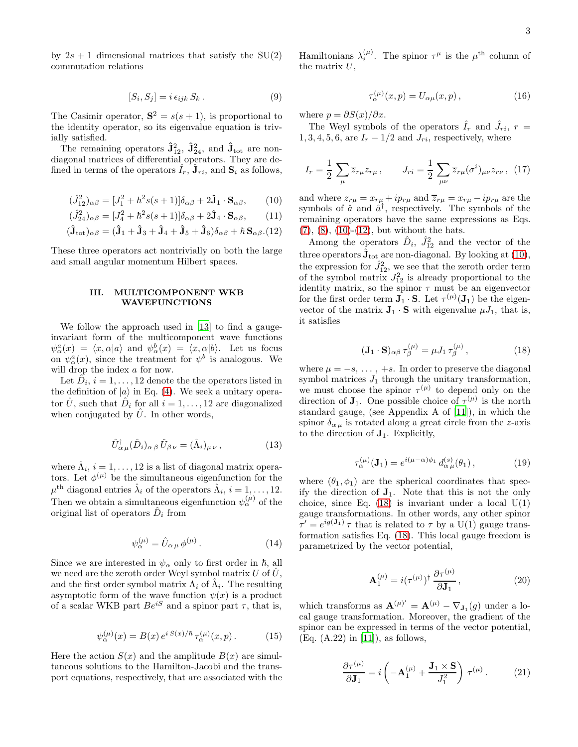by  $2s + 1$  dimensional matrices that satisfy the  $SU(2)$ commutation relations

$$
[S_i, S_j] = i \epsilon_{ijk} S_k . \tag{9}
$$

The Casimir operator,  $S^2 = s(s + 1)$ , is proportional to the identity operator, so its eigenvalue equation is trivially satisfied.

The remaining operators  $\hat{\mathbf{J}}_{12}^2$ ,  $\hat{\mathbf{J}}_{24}^2$ , and  $\hat{\mathbf{J}}_{\text{tot}}$  are nondiagonal matrices of differential operators. They are defined in terms of the operators  $\hat{I}_r$ ,  $\hat{\mathbf{J}}_{ri}$ , and  $\mathbf{S}_i$  as follows,

<span id="page-2-1"></span>
$$
(\hat{J}_{12}^2)_{\alpha\beta} = [J_1^2 + \hbar^2 s(s+1)]\delta_{\alpha\beta} + 2\hat{\mathbf{J}}_1 \cdot \mathbf{S}_{\alpha\beta},\qquad(10)
$$

$$
(\hat{J}_{24}^2)_{\alpha\beta} = [J_4^2 + \hbar^2 s(s+1)]\delta_{\alpha\beta} + 2\hat{\mathbf{J}}_4 \cdot \mathbf{S}_{\alpha\beta},\qquad(11)
$$

$$
(\hat{\mathbf{J}}_{\text{tot}})_{\alpha\beta} = (\hat{\mathbf{J}}_1 + \hat{\mathbf{J}}_3 + \hat{\mathbf{J}}_4 + \hat{\mathbf{J}}_5 + \hat{\mathbf{J}}_6)\delta_{\alpha\beta} + \hbar \,\mathbf{S}_{\alpha\beta}.\mathbf{(12)}
$$

These three operators act nontrivially on both the large and small angular momentum Hilbert spaces.

## <span id="page-2-0"></span>III. MULTICOMPONENT WKB WAVEFUNCTIONS

We follow the approach used in [\[13\]](#page-12-7) to find a gaugeinvariant form of the multicomponent wave functions  $\psi^a_\alpha(x) = \langle x, \alpha | a \rangle$  and  $\psi^b_\alpha(x) = \langle x, \alpha | b \rangle$ . Let us focus on  $\psi^a_\alpha(x)$ , since the treatment for  $\psi^b$  is analogous. We will drop the index a for now.

Let  $\tilde{D}_i$ ,  $i = 1, \ldots, 12$  denote the the operators listed in the definition of  $|a\rangle$  in Eq. [\(4\)](#page-1-2). We seek a unitary operator  $\hat{U}$ , such that  $\hat{D}_i$  for all  $i = 1, ..., 12$  are diagonalized when conjugated by  $\hat{U}$ . In other words,

$$
\hat{U}_{\alpha\,\mu}^{\dagger}(\hat{D}_i)_{\alpha\,\beta}\,\hat{U}_{\beta\,\nu}=(\hat{\Lambda}_i)_{\mu\,\nu}\,,\tag{13}
$$

where  $\hat{\Lambda}_i$ ,  $i = 1, ..., 12$  is a list of diagonal matrix operators. Let  $\phi^{(\mu)}$  be the simultaneous eigenfunction for the  $\mu^{\text{th}}$  diagonal entries  $\hat{\lambda}_i$  of the operators  $\hat{\Lambda}_i$ ,  $i = 1, \ldots, 12$ . Then we obtain a simultaneous eigenfunction  $\psi_{\alpha}^{(\mu)}$  of the original list of operators  $\hat{D}_i$  from

$$
\psi_{\alpha}^{(\mu)} = \hat{U}_{\alpha\,\mu} \,\phi^{(\mu)} \,. \tag{14}
$$

Since we are interested in  $\psi_{\alpha}$  only to first order in  $\hbar$ , all we need are the zeroth order Weyl symbol matrix U of  $\hat{U}$ , and the first order symbol matrix  $\Lambda_i$  of  $\hat{\Lambda}_i$ . The resulting asymptotic form of the wave function  $\psi(x)$  is a product of a scalar WKB part  $Be^{iS}$  and a spinor part  $\tau$ , that is,

<span id="page-2-6"></span>
$$
\psi_{\alpha}^{(\mu)}(x) = B(x) e^{i S(x)/\hbar} \tau_{\alpha}^{(\mu)}(x, p).
$$
 (15)

Here the action  $S(x)$  and the amplitude  $B(x)$  are simultaneous solutions to the Hamilton-Jacobi and the transport equations, respectively, that are associated with the

Hamiltonians  $\lambda_i^{(\mu)}$ . The spinor  $\tau^{\mu}$  is the  $\mu^{\text{th}}$  column of the matrix  $U$ ,

<span id="page-2-3"></span>
$$
\tau_{\alpha}^{(\mu)}(x,p) = U_{\alpha\mu}(x,p) , \qquad (16)
$$

where  $p = \partial S(x)/\partial x$ .

The Weyl symbols of the operators  $\hat{I}_r$  and  $\hat{J}_{ri}$ ,  $r =$  $1, 3, 4, 5, 6,$  are  $I_r - 1/2$  and  $J_{ri},$  respectively, where

<span id="page-2-5"></span>
$$
I_r = \frac{1}{2} \sum_{\mu} \overline{z}_{r\mu} z_{r\mu}, \qquad J_{ri} = \frac{1}{2} \sum_{\mu\nu} \overline{z}_{r\mu} (\sigma^i)_{\mu\nu} z_{r\nu}, \tag{17}
$$

and where  $z_{r\mu} = x_{r\mu} + ip_{r\mu}$  and  $\overline{z}_{r\mu} = x_{r\mu} - ip_{r\mu}$  are the symbols of  $\hat{a}$  and  $\hat{a}^{\dagger}$ , respectively. The symbols of the remaining operators have the same expressions as Eqs.  $(7), (8), (10)-(12),$  $(7), (8), (10)-(12),$  $(7), (8), (10)-(12),$  $(7), (8), (10)-(12),$  $(7), (8), (10)-(12),$  $(7), (8), (10)-(12),$  $(7), (8), (10)-(12),$  $(7), (8), (10)-(12),$  but without the hats.

Among the operators  $\hat{D}_i$ ,  $\hat{J}_{12}^2$  and the vector of the three operators  $\hat{\mathbf{J}}_{\text{tot}}$  are non-diagonal. By looking at [\(10\)](#page-2-1), the expression for  $\hat{J}_{12}^2$ , we see that the zeroth order term of the symbol matrix  $J_{12}^2$  is already proportional to the identity matrix, so the spinor  $\tau$  must be an eigenvector for the first order term  $\mathbf{J}_1 \cdot \mathbf{S}$ . Let  $\tau^{(\mu)}(\mathbf{J}_1)$  be the eigenvector of the matrix  $\mathbf{J}_1 \cdot \mathbf{S}$  with eigenvalue  $\mu J_1$ , that is, it satisfies

<span id="page-2-2"></span>
$$
(\mathbf{J}_1 \cdot \mathbf{S})_{\alpha\beta} \tau_{\beta}^{(\mu)} = \mu J_1 \tau_{\beta}^{(\mu)}, \qquad (18)
$$

where  $\mu = -s, \ldots, +s$ . In order to preserve the diagonal symbol matrices  $J_1$  through the unitary transformation, we must choose the spinor  $\tau^{(\mu)}$  to depend only on the direction of  $J_1$ . One possible choice of  $\tau^{(\mu)}$  is the north standard gauge, (see Appendix A of [\[11\]](#page-12-14)), in which the spinor  $\delta_{\alpha\mu}$  is rotated along a great circle from the z-axis to the direction of  $J_1$ . Explicitly,

$$
\tau_{\alpha}^{(\mu)}(\mathbf{J}_1) = e^{i(\mu - \alpha)\phi_1} d_{\alpha\,\mu}^{(s)}(\theta_1) , \qquad (19)
$$

where  $(\theta_1, \phi_1)$  are the spherical coordinates that specify the direction of  $J_1$ . Note that this is not the only choice, since Eq.  $(18)$  is invariant under a local  $U(1)$ gauge transformations. In other words, any other spinor  $\tau' = e^{ig(\mathbf{J}_1)} \tau$  that is related to  $\tau$  by a  $U(1)$  gauge transformation satisfies Eq. [\(18\)](#page-2-2). This local gauge freedom is parametrized by the vector potential,

$$
\mathbf{A}_{1}^{(\mu)} = i(\tau^{(\mu)})^{\dagger} \frac{\partial \tau^{(\mu)}}{\partial \mathbf{J}_{1}}, \qquad (20)
$$

which transforms as  $\mathbf{A}^{(\mu)} = \mathbf{A}^{(\mu)} - \nabla_{\mathbf{J}_1}(g)$  under a local gauge transformation. Moreover, the gradient of the spinor can be expressed in terms of the vector potential, (Eq. (A.22) in [\[11\]](#page-12-14)), as follows,

<span id="page-2-4"></span>
$$
\frac{\partial \tau^{(\mu)}}{\partial \mathbf{J}_1} = i \left( -\mathbf{A}_1^{(\mu)} + \frac{\mathbf{J}_1 \times \mathbf{S}}{J_1^2} \right) \tau^{(\mu)}.
$$
 (21)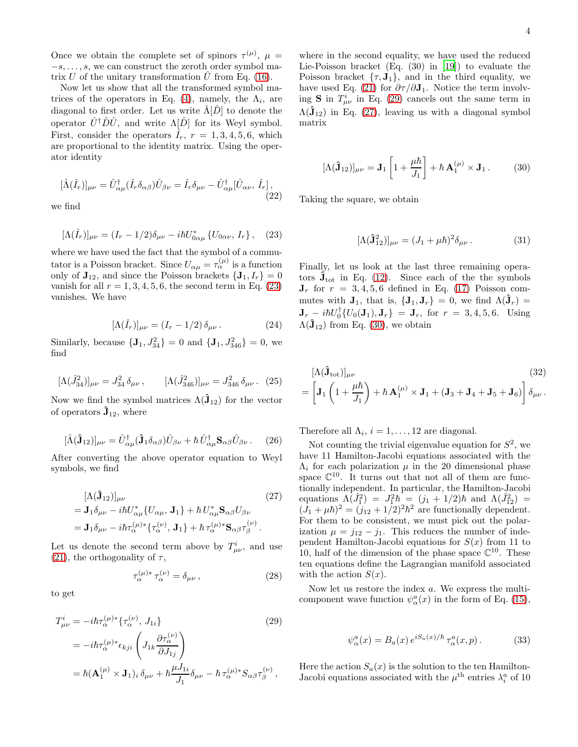Once we obtain the complete set of spinors  $\tau^{(\mu)}$ ,  $\mu =$  $-s, \ldots, s$ , we can construct the zeroth order symbol matrix U of the unitary transformation  $\hat{U}$  from Eq. [\(16\)](#page-2-3).

Now let us show that all the transformed symbol ma-trices of the operators in Eq. [\(4\)](#page-1-2), namely, the  $\Lambda_i$ , are diagonal to first order. Let us write  $\hat{\Lambda}[\hat{D}]$  to denote the operator  $\hat{U}^{\dagger} \hat{D} \hat{U}$ , and write  $\Lambda[\hat{D}]$  for its Weyl symbol. First, consider the operators  $\hat{I}_r$ ,  $r = 1, 3, 4, 5, 6$ , which are proportional to the identity matrix. Using the operator identity

$$
[\hat{\Lambda}(\hat{I}_r)]_{\mu\nu} = \hat{U}_{\alpha\mu}^{\dagger}(\hat{I}_r \delta_{\alpha\beta}) \hat{U}_{\beta\nu} = \hat{I}_r \delta_{\mu\nu} - \hat{U}_{\alpha\mu}^{\dagger} [\hat{U}_{\alpha\nu}, \hat{I}_r],
$$
\n(22)

we find

<span id="page-3-0"></span>
$$
[\Lambda(\hat{I}_r)]_{\mu\nu} = (I_r - 1/2)\delta_{\mu\nu} - i\hbar U_{0\alpha\mu}^* \{U_{0\alpha\nu}, I_r\}, \quad (23)
$$

where we have used the fact that the symbol of a commutator is a Poisson bracket. Since  $U_{\alpha\mu} = \tau_{\alpha}^{(\mu)}$  is a function only of  $\mathbf{J}_{12}$ , and since the Poisson brackets  $\{\mathbf{J}_1, I_r\} = 0$ vanish for all  $r = 1, 3, 4, 5, 6$ , the second term in Eq. [\(23\)](#page-3-0) vanishes. We have

$$
[\Lambda(\hat{I}_r)]_{\mu\nu} = (I_r - 1/2) \,\delta_{\mu\nu} \,. \tag{24}
$$

Similarly, because  ${\bf \{J}_1, J_{34}^2\} = 0$  and  ${\bf \{J}_1, J_{346}^2\} = 0$ , we find

$$
[\Lambda(\hat{J}_{34}^2)]_{\mu\nu} = J_{34}^2 \,\delta_{\mu\nu} \,, \qquad [\Lambda(\hat{J}_{346}^2)]_{\mu\nu} = J_{346}^2 \,\delta_{\mu\nu} \,. \tag{25}
$$

Now we find the symbol matrices  $\Lambda(\hat{\mathbf{J}}_{12})$  for the vector of operators  $\hat{\mathbf{J}}_{12}$ , where

$$
[\hat{\Lambda}(\hat{\mathbf{J}}_{12})]_{\mu\nu} = \hat{U}^{\dagger}_{\alpha\mu}(\hat{\mathbf{J}}_1 \delta_{\alpha\beta}) \hat{U}_{\beta\nu} + \hbar \hat{U}^{\dagger}_{\alpha\mu} \mathbf{S}_{\alpha\beta} \hat{U}_{\beta\nu}.
$$
 (26)

After converting the above operator equation to Weyl symbols, we find

<span id="page-3-2"></span>
$$
\begin{split} [\Lambda(\hat{\mathbf{J}}_{12})]_{\mu\nu} & (27) \\ &= \mathbf{J}_1 \delta_{\mu\nu} - i\hbar U_{\alpha\mu}^* \{U_{\alpha\mu}, \mathbf{J}_1\} + \hbar U_{\alpha\mu}^* \mathbf{S}_{\alpha\beta} U_{\beta\nu} \\ &= \mathbf{J}_1 \delta_{\mu\nu} - i\hbar \tau_{\alpha}^{(\mu)*} \{\tau_{\alpha}^{(\nu)}, \mathbf{J}_1\} + \hbar \tau_{\alpha}^{(\mu)*} \mathbf{S}_{\alpha\beta} \tau_{\beta}^{(\nu)}. \end{split}
$$

Let us denote the second term above by  $T^i_{\mu\nu}$ , and use [\(21\)](#page-2-4), the orthogonality of  $\tau$ ,

$$
\tau_{\alpha}^{(\mu)*}\tau_{\alpha}^{(\nu)} = \delta_{\mu\nu},\qquad(28)
$$

to get

<span id="page-3-1"></span>
$$
T_{\mu\nu}^{i} = -i\hbar\tau_{\alpha}^{(\mu)*}\{\tau_{\alpha}^{(\nu)}, J_{1i}\}\qquad(29)
$$
  

$$
= -i\hbar\tau_{\alpha}^{(\mu)*}\epsilon_{kji}\left(J_{1k}\frac{\partial\tau_{\alpha}^{(\nu)}}{\partial J_{1j}}\right)
$$
  

$$
= \hbar(\mathbf{A}_{1}^{(\mu)} \times \mathbf{J}_{1})_{i}\delta_{\mu\nu} + \hbar\frac{\mu J_{1i}}{J_{1}}\delta_{\mu\nu} - \hbar\tau_{\alpha}^{(\mu)*}S_{\alpha\beta}\tau_{\beta}^{(\nu)},
$$

where in the second equality, we have used the reduced Lie-Poisson bracket (Eq. (30) in [\[19\]](#page-12-13)) to evaluate the Poisson bracket  $\{\tau, J_1\}$ , and in the third equality, we have used Eq. [\(21\)](#page-2-4) for  $\partial \tau / \partial J_1$ . Notice the term involving **S** in  $T^i_{\mu\nu}$  in Eq. [\(29\)](#page-3-1) cancels out the same term in  $\Lambda(\hat{\mathbf{J}}_{12})$  in Eq. [\(27\)](#page-3-2), leaving us with a diagonal symbol matrix

<span id="page-3-3"></span>
$$
[\Lambda(\hat{\mathbf{J}}_{12})]_{\mu\nu} = \mathbf{J}_1 \left[ 1 + \frac{\mu \hbar}{J_1} \right] + \hbar \, \mathbf{A}_1^{(\mu)} \times \mathbf{J}_1 \,. \tag{30}
$$

Taking the square, we obtain

$$
[\Lambda(\hat{\mathbf{J}}_{12}^2)]_{\mu\nu} = (J_1 + \mu \hbar)^2 \delta_{\mu\nu} . \tag{31}
$$

Finally, let us look at the last three remaining operators  $\hat{\mathbf{J}}_{\text{tot}}$  in Eq. [\(12\)](#page-2-1). Since each of the the symbols  $J_r$  for  $r = 3, 4, 5, 6$  defined in Eq. [\(17\)](#page-2-5) Poisson commutes with  $J_1$ , that is,  ${J_1, J_r} = 0$ , we find  $\Lambda(\hat{J}_r) =$  $\mathbf{J}_r = i\hbar U_0^{\dagger} \{ U_0(\mathbf{J}_1), \mathbf{J}_r \} = \mathbf{J}_r$ , for  $r = 3, 4, 5, 6$ . Using  $\Lambda(\mathbf{J}_{12})$  from Eq. [\(30\)](#page-3-3), we obtain

$$
[\Lambda(\hat{\mathbf{J}}_{\text{tot}})]_{\mu\nu} \tag{32}
$$
\n
$$
= \left[ \mathbf{J}_1 \left( 1 + \frac{\mu \hbar}{J_1} \right) + \hbar \, \mathbf{A}_1^{(\mu)} \times \mathbf{J}_1 + (\mathbf{J}_3 + \mathbf{J}_4 + \mathbf{J}_5 + \mathbf{J}_6) \right] \delta_{\mu\nu} \, .
$$

Therefore all  $\Lambda_i$ ,  $i = 1, ..., 12$  are diagonal.

Not counting the trivial eigenvalue equation for  $S^2$ , we have 11 Hamilton-Jacobi equations associated with the  $\Lambda_i$  for each polarization  $\mu$  in the 20 dimensional phase space  $\mathbb{C}^{10}$ . It turns out that not all of them are functionally independent. In particular, the Hamilton-Jacobi equations  $\Lambda(\hat{J}_1^2) = J_1^2 \hbar = (j_1 + 1/2)\hbar$  and  $\Lambda(\hat{J}_{12}^2) =$  $(J_1 + \mu \hbar)^2 = (j_{12} + 1/2)^2 \hbar^2$  are functionally dependent. For them to be consistent, we must pick out the polarization  $\mu = j_{12} - j_1$ . This reduces the number of independent Hamilton-Jacobi equations for  $S(x)$  from 11 to 10, half of the dimension of the phase space  $\mathbb{C}^{10}$ . These ten equations define the Lagrangian manifold associated with the action  $S(x)$ .

Now let us restore the index a. We express the multicomponent wave function  $\psi^a_\alpha(x)$  in the form of Eq. [\(15\)](#page-2-6),

$$
\psi_{\alpha}^{a}(x) = B_{a}(x) e^{iS_{a}(x)/\hbar} \tau_{\alpha}^{a}(x, p).
$$
 (33)

Here the action  $S_a(x)$  is the solution to the ten Hamilton-Jacobi equations associated with the  $\mu^{\text{th}}$  entries  $\lambda_i^a$  of 10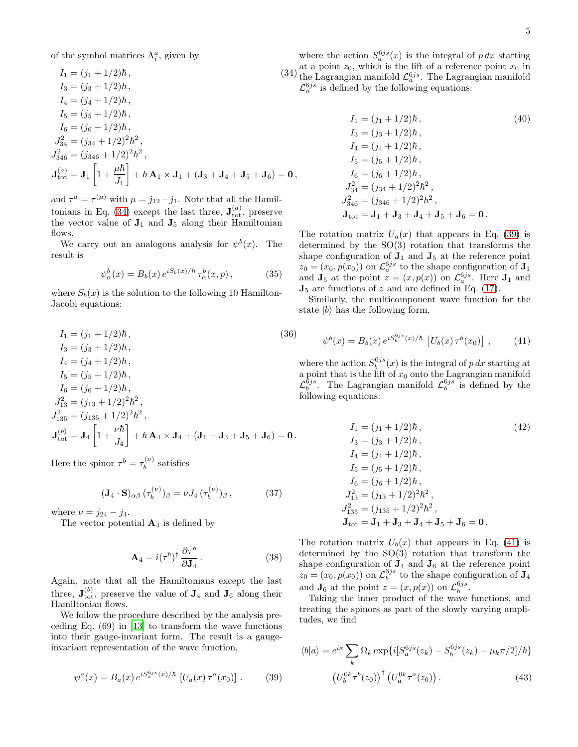of the symbol matrices  $\Lambda_i^a$ , given by

<span id="page-4-0"></span>
$$
I_1 = (j_1 + 1/2)\hbar, \qquad (34)
$$
  
\n
$$
I_3 = (j_3 + 1/2)\hbar, \qquad (34)
$$
  
\n
$$
I_4 = (j_4 + 1/2)\hbar, \qquad I_5 = (j_5 + 1/2)\hbar, \qquad I_6 = (j_6 + 1/2)\hbar, \qquad J_{34}^2 = (j_{34} + 1/2)^2\hbar^2, \qquad J_{346}^2 = (j_{346} + 1/2)^2\hbar^2, \qquad J_{\text{tot}}^2 = \mathbf{J}_1 \left[ 1 + \frac{\mu\hbar}{J_1} \right] + \hbar \mathbf{A}_1 \times \mathbf{J}_1 + (\mathbf{J}_3 + \mathbf{J}_4 + \mathbf{J}_5 + \mathbf{J}_6) = \mathbf{0},
$$

and  $\tau^a = \tau^{(\mu)}$  with  $\mu = j_{12} - j_1$ . Note that all the Hamil-tonians in Eq. [\(34\)](#page-4-0) except the last three,  $J_{\text{tot}}^{(a)}$ , preserve the vector value of  $J_1$  and  $J_5$  along their Hamiltonian flows.

We carry out an analogous analysis for  $\psi^b(x)$ . The result is

$$
\psi_{\alpha}^{b}(x) = B_{b}(x) e^{iS_{b}(x)/\hbar} \tau_{\alpha}^{b}(x, p), \qquad (35)
$$

where  $S_b(x)$  is the solution to the following 10 Hamilton-Jacobi equations:

$$
I_1 = (j_1 + 1/2)\hbar, \qquad (36)
$$
  
\n
$$
I_3 = (j_3 + 1/2)\hbar, \qquad (36)
$$
  
\n
$$
I_4 = (j_4 + 1/2)\hbar, \qquad I_5 = (j_5 + 1/2)\hbar, \qquad I_6 = (j_6 + 1/2)\hbar, \qquad J_{13}^2 = (j_{13} + 1/2)^2\hbar^2, \qquad J_{135}^2 = (j_{135} + 1/2)^2\hbar^2, \qquad J_{\text{tot}}^{(b)} = \mathbf{J}_4 \left[ 1 + \frac{\nu \hbar}{J_4} \right] + \hbar \mathbf{A}_4 \times \mathbf{J}_4 + (\mathbf{J}_1 + \mathbf{J}_3 + \mathbf{J}_5 + \mathbf{J}_6) = \mathbf{0}.
$$

Here the spinor  $\tau^b = \tau_b^{(\nu)}$  $b^{(\nu)}$  satisfies

$$
(\mathbf{J}_4 \cdot \mathbf{S})_{\alpha\beta} \, (\tau_b^{(\nu)})_{\beta} = \nu J_4 \, (\tau_b^{(\nu)})_{\beta} \,, \tag{37}
$$

where  $\nu = j_{24} - j_4$ .

The vector potential  $A_4$  is defined by

$$
\mathbf{A}_4 = i(\tau^b)^{\dagger} \frac{\partial \tau^b}{\partial \mathbf{J}_4}.
$$
 (38)

Again, note that all the Hamiltonians except the last three,  $\mathbf{J}_{\text{tot}}^{(b)}$ , preserve the value of  $\mathbf{J}_4$  and  $\mathbf{J}_6$  along their Hamiltonian flows.

We follow the procedure described by the analysis preceding Eq. (69) in [\[13\]](#page-12-7) to transform the wave functions into their gauge-invariant form. The result is a gaugeinvariant representation of the wave function,

<span id="page-4-1"></span>
$$
\psi^{a}(x) = B_{a}(x) e^{iS_{a}^{6js}(x)/\hbar} \left[ U_{a}(x) \tau^{a}(x_{0}) \right]. \tag{39}
$$

where the action  $S_a^{6js}(x)$  is the integral of  $p dx$  starting at a point  $z_0$ , which is the lift of a reference point  $x_0$  in the Lagrangian manifold  $\mathcal{L}_a^{6js}$ . The Lagrangian manifold  $\mathcal{L}_a^{6js}$  is defined by the following equations:

<span id="page-4-4"></span>
$$
I_1 = (j_1 + 1/2)\hbar,
$$
  
\n
$$
I_3 = (j_3 + 1/2)\hbar,
$$
  
\n
$$
I_4 = (j_4 + 1/2)\hbar,
$$
  
\n
$$
I_5 = (j_5 + 1/2)\hbar,
$$
  
\n
$$
I_6 = (j_6 + 1/2)\hbar,
$$
  
\n
$$
J_{34}^2 = (j_{34} + 1/2)^2\hbar^2,
$$
  
\n
$$
J_{346}^2 = (j_{346} + 1/2)^2\hbar^2,
$$
  
\n
$$
J_{\text{tot}} = J_1 + J_3 + J_4 + J_5 + J_6 = 0.
$$
  
\n(40)

The rotation matrix  $U_a(x)$  that appears in Eq. [\(39\)](#page-4-1) is determined by the SO(3) rotation that transforms the shape configuration of  $J_1$  and  $J_5$  at the reference point  $z_0 = (x_0, p(x_0))$  on  $\mathcal{L}_a^{6js}$  to the shape configuration of  $J_1$ and  $\mathbf{J}_5$  at the point  $z = (x, p(x))$  on  $\mathcal{L}_a^{6js}$ . Here  $\mathbf{J}_1$  and  $\mathbf{J}_5$  are functions of z and are defined in Eq. [\(17\)](#page-2-5).

Similarly, the multicomponent wave function for the state  $|b\rangle$  has the following form,

<span id="page-4-2"></span>
$$
\psi^{b}(x) = B_{b}(x) e^{iS_{b}^{6js}(x)/\hbar} \left[ U_{b}(x) \tau^{b}(x_{0}) \right], \quad (41)
$$

where the action  $S_b^{6js}(x)$  is the integral of p dx starting at a point that is the lift of  $x_0$  onto the Lagrangian manifold  $\mathcal{L}_b^{6js}$ . The Lagrangian manifold  $\mathcal{L}_b^{6js}$  is defined by the following equations:

<span id="page-4-5"></span>
$$
I_1 = (j_1 + 1/2)\hbar,
$$
  
\n
$$
I_3 = (j_3 + 1/2)\hbar,
$$
  
\n
$$
I_4 = (j_4 + 1/2)\hbar,
$$
  
\n
$$
I_5 = (j_5 + 1/2)\hbar,
$$
  
\n
$$
I_6 = (j_6 + 1/2)\hbar,
$$
  
\n
$$
J_{13}^2 = (j_{13} + 1/2)^2\hbar^2,
$$
  
\n
$$
J_{135}^2 = (j_{135} + 1/2)^2\hbar^2,
$$
  
\n
$$
J_{\text{tot}} = J_1 + J_3 + J_4 + J_5 + J_6 = 0.
$$
  
\n(42)

The rotation matrix  $U_b(x)$  that appears in Eq. [\(41\)](#page-4-2) is determined by the SO(3) rotation that transform the shape configuration of  $J_4$  and  $J_6$  at the reference point  $z_0 = (x_0, p(x_0))$  on  $\mathcal{L}_b^{6js}$  to the shape configuration of  $\mathbf{J}_4$ and  $\mathbf{J}_6$  at the point  $z = (x, p(x))$  on  $\mathcal{L}_b^{6js}$ .

Taking the inner product of the wave functions, and treating the spinors as part of the slowly varying amplitudes, we find

<span id="page-4-3"></span>
$$
\langle b|a\rangle = e^{i\kappa} \sum_{k} \Omega_k \exp\{i[S_a^{6js}(z_k) - S_b^{6js}(z_k) - \mu_k \pi/2]/\hbar\}
$$

$$
(U_b^{0k} \tau^b(z_0))^{\dagger} (U_a^{0k} \tau^a(z_0)). \tag{43}
$$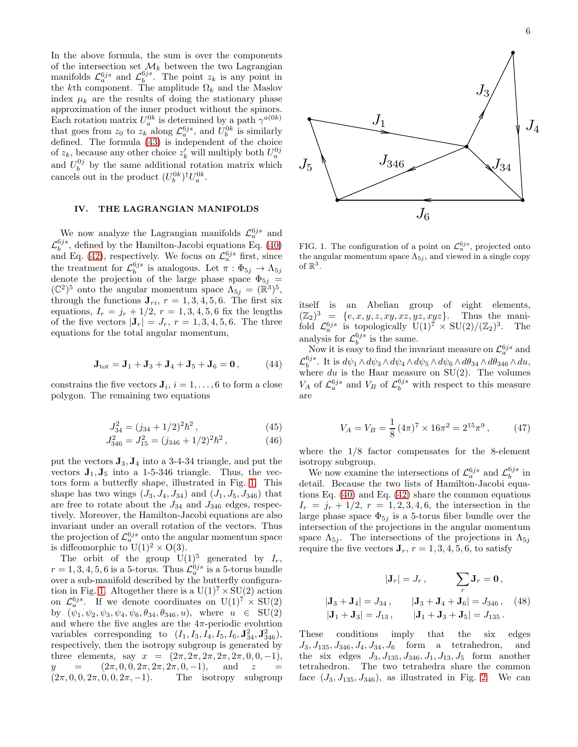In the above formula, the sum is over the components of the intersection set  $\mathcal{M}_k$  between the two Lagrangian manifolds  $\mathcal{L}_a^{6js}$  and  $\mathcal{L}_b^{6js}$ . The point z<sub>k</sub> is any point in the kth component. The amplitude  $\Omega_k$  and the Maslov index  $\mu_k$  are the results of doing the stationary phase approximation of the inner product without the spinors. Each rotation matrix  $U_a^{0k}$  is determined by a path  $\gamma^{a(0k)}$ that goes from  $z_0$  to  $z_k$  along  $\mathcal{L}_a^{6js}$ , and  $U_b^{0k}$  is similarly defined. The formula [\(43\)](#page-4-3) is independent of the choice of  $z_k$ , because any other choice  $z'_k$  will multiply both  $U_a^{0j}$ and  $U_b^{0j}$  by the same additional rotation matrix which cancels out in the product  $(U_b^{0k})^{\dagger}U_a^{0k}$ .

#### <span id="page-5-0"></span>IV. THE LAGRANGIAN MANIFOLDS

We now analyze the Lagrangian manifolds  $\mathcal{L}_a^{6js}$  and  $\mathcal{L}_{b}^{6js}$ , defined by the Hamilton-Jacobi equations Eq. [\(40\)](#page-4-4) and Eq. [\(42\)](#page-4-5), respectively. We focus on  $\mathcal{L}_a^{6js}$  first, since the treatment for  $\mathcal{L}_b^{6js}$  is analogous. Let  $\pi : \Phi_{5j} \to \Lambda_{5j}$ denote the projection of the large phase space  $\Phi_{5j}$  =  $(\mathbb{C}^2)^5$  onto the angular momentum space  $\Lambda_{5j} = (\mathbb{R}^3)^5$ , through the functions  $J_{ri}$ ,  $r = 1, 3, 4, 5, 6$ . The first six equations,  $I_r = j_r + 1/2$ ,  $r = 1, 3, 4, 5, 6$  fix the lengths of the five vectors  $|\mathbf{J}_r| = J_r$ ,  $r = 1, 3, 4, 5, 6$ . The three equations for the total angular momentum,

$$
J_{\text{tot}} = J_1 + J_3 + J_4 + J_5 + J_6 = 0, \qquad (44)
$$

constrains the five vectors  $\mathbf{J}_i$ ,  $i = 1, \ldots, 6$  to form a close polygon. The remaining two equations

$$
J_{34}^2 = (j_{34} + 1/2)^2 \hbar^2, \qquad (45)
$$

$$
J_{346}^2 = J_{15}^2 = (j_{346} + 1/2)^2 \hbar^2, \qquad (46)
$$

put the vectors  $\mathbf{J}_3, \mathbf{J}_4$  into a 3-4-34 triangle, and put the vectors  $J_1, J_5$  into a 1-5-346 triangle. Thus, the vectors form a butterfly shape, illustrated in Fig. [1.](#page-5-1) This shape has two wings  $(J_3, J_4, J_{34})$  and  $(J_1, J_5, J_{346})$  that are free to rotate about the  $J_{34}$  and  $J_{346}$  edges, respectively. Moreover, the Hamilton-Jacobi equations are also invariant under an overall rotation of the vectors. Thus the projection of  $\mathcal{L}_a^{6js}$  onto the angular momentum space is diffeomorphic to  $U(1)^2 \times O(3)$ .

The orbit of the group  $U(1)^5$  generated by  $I_r$ ,  $r = 1, 3, 4, 5, 6$  is a 5-torus. Thus  $\mathcal{L}_a^{6js}$  is a 5-torus bundle over a sub-manifold described by the butterfly configura-tion in Fig. [1.](#page-5-1) Altogether there is a  $U(1)^7 \times SU(2)$  action on  $\mathcal{L}_a^{6js}$ . If we denote coordinates on  $U(1)^7 \times SU(2)$ by  $(\psi_1, \psi_2, \psi_3, \psi_4, \psi_6, \theta_{34}, \theta_{346}, u)$ , where  $u \in SU(2)$ and where the five angles are the  $4\pi$ -periodic evolution variables corresponding to  $(I_1, I_3, I_4, I_5, I_6, \mathbf{J}_{34}^2, \mathbf{J}_{346}^2),$ respectively, then the isotropy subgroup is generated by three elements, say  $x = (2\pi, 2\pi, 2\pi, 2\pi, 2\pi, 0, 0, -1),$ <br>  $y = (2\pi, 0, 0, 2\pi, 2\pi, 2\pi, 0, -1),$  and  $z =$  $y = (2\pi, 0, 0, 2\pi, 2\pi, 2\pi, 0, -1),$ <br> $(2\pi, 0, 0, 2\pi, 0, 0, 2\pi, -1).$  The iso The isotropy subgroup



<span id="page-5-1"></span>FIG. 1. The configuration of a point on  $\mathcal{L}_a^{6js}$ , projected onto the angular momentum space  $\Lambda_{5j}$ , and viewed in a single copy of  $\mathbb{R}^3$ .

itself is an Abelian group of eight elements,  $(\mathbb{Z}_2)^3 = \{e, x, y, z, xy, xz, yz, xyz\}$ . Thus the manifold  $\mathcal{L}_a^{6js}$  is topologically  $\mathbb{U}(1)^7 \times \mathbb{SU}(2)/(\mathbb{Z}_2)^3$ . The analysis for  $\mathcal{L}_b^{6js}$  is the same.

Now it is easy to find the invariant measure on  $\mathcal{L}_a^{6js}$  and  $\mathcal{L}_{b}^{6js}$ . It is  $d\psi_1 \wedge d\psi_3 \wedge d\psi_4 \wedge d\psi_5 \wedge d\psi_6 \wedge d\theta_{34} \wedge d\theta_{346} \wedge du$ , where  $du$  is the Haar measure on SU(2). The volumes  $V_A$  of  $\mathcal{L}_a^{6js}$  and  $V_B$  of  $\mathcal{L}_b^{6js}$  with respect to this measure are

$$
V_A = V_B = \frac{1}{8} (4\pi)^7 \times 16\pi^2 = 2^{15} \pi^9, \qquad (47)
$$

where the 1/8 factor compensates for the 8-element isotropy subgroup.

We now examine the intersections of  $\mathcal{L}_a^{6js}$  and  $\mathcal{L}_b^{6js}$  in detail. Because the two lists of Hamilton-Jacobi equations Eq. [\(40\)](#page-4-4) and Eq. [\(42\)](#page-4-5) share the common equations  $I_r = j_r + 1/2, r = 1, 2, 3, 4, 6$ , the intersection in the large phase space  $\Phi_{5j}$  is a 5-torus fiber bundle over the intersection of the projections in the angular momentum space  $\Lambda_{5j}$ . The intersections of the projections in  $\Lambda_{5j}$ require the five vectors  $\mathbf{J}_r$ ,  $r = 1, 3, 4, 5, 6$ , to satisfy

<span id="page-5-2"></span>
$$
|\mathbf{J}_r| = J_r, \qquad \sum_r \mathbf{J}_r = \mathbf{0},
$$
  

$$
|\mathbf{J}_3 + \mathbf{J}_4| = J_{34}, \qquad |\mathbf{J}_3 + \mathbf{J}_4 + \mathbf{J}_6| = J_{346}, \quad (48)
$$
  

$$
|\mathbf{J}_1 + \mathbf{J}_3| = J_{13}, \qquad |\mathbf{J}_1 + \mathbf{J}_3 + \mathbf{J}_5| = J_{135}.
$$

These conditions imply that the six edges  $J_3, J_{135}, J_{346}, J_4, J_{34}, J_6$  form a tetrahedron, and the six edges  $J_3, J_{135}, J_{346}, J_1, J_{13}, J_5$  form another tetrahedron. The two tetrahedra share the common face  $(J_3, J_{135}, J_{346})$ , as illustrated in Fig. [2.](#page-6-0) We can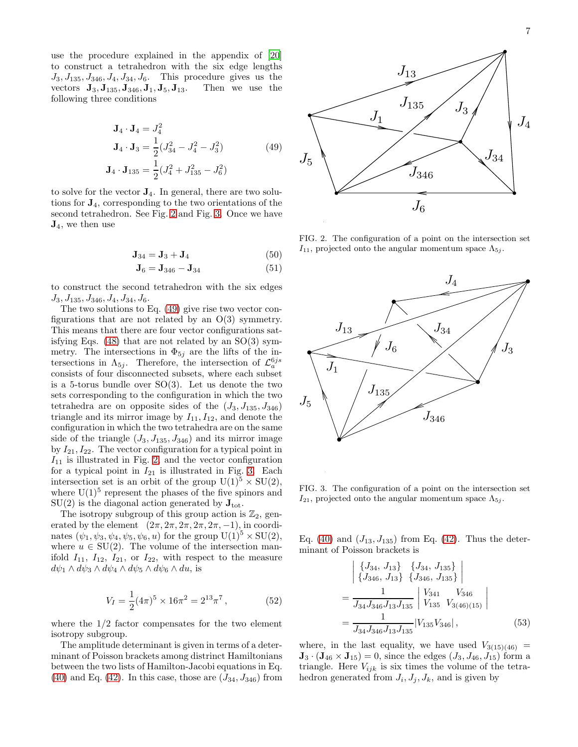use the procedure explained in the appendix of [\[20](#page-12-15)] to construct a tetrahedron with the six edge lengths  $J_3, J_{135}, J_{346}, J_4, J_{34}, J_6$ . This procedure gives us the vectors  $\mathbf{J}_3, \mathbf{J}_{135}, \mathbf{J}_{346}, \mathbf{J}_1, \mathbf{J}_5, \mathbf{J}_{13}$ . Then we use the vectors  ${\bf J}_3, {\bf J}_{135}, {\bf J}_{346}, {\bf J}_1, {\bf J}_5, {\bf J}_{13}.$ following three conditions

<span id="page-6-2"></span>
$$
\mathbf{J}_4 \cdot \mathbf{J}_4 = J_4^2
$$
  
\n
$$
\mathbf{J}_4 \cdot \mathbf{J}_3 = \frac{1}{2} (J_{34}^2 - J_4^2 - J_3^2)
$$
  
\n
$$
\mathbf{J}_4 \cdot \mathbf{J}_{135} = \frac{1}{2} (J_4^2 + J_{135}^2 - J_6^2)
$$
\n(49)

to solve for the vector  $J_4$ . In general, there are two solutions for J4, corresponding to the two orientations of the second tetrahedron. See Fig. [2](#page-6-0) and Fig. [3.](#page-6-1) Once we have  $J_4$ , we then use

$$
\mathbf{J}_{34} = \mathbf{J}_3 + \mathbf{J}_4 \tag{50}
$$

$$
J6 = J346 - J34
$$
\n(51)

to construct the second tetrahedron with the six edges  $J_3, J_{135}, J_{346}, J_4, J_{34}, J_6.$ 

The two solutions to Eq. [\(49\)](#page-6-2) give rise two vector configurations that are not related by an  $O(3)$  symmetry. This means that there are four vector configurations satisfying Eqs.  $(48)$  that are not related by an  $SO(3)$  symmetry. The intersections in  $\Phi_{5j}$  are the lifts of the intersections in  $\Lambda_{5j}$ . Therefore, the intersection of  $\mathcal{L}_a^{6js}$ consists of four disconnected subsets, where each subset is a 5-torus bundle over  $SO(3)$ . Let us denote the two sets corresponding to the configuration in which the two tetrahedra are on opposite sides of the  $(J_3, J_{135}, J_{346})$ triangle and its mirror image by  $I_{11}, I_{12}$ , and denote the configuration in which the two tetrahedra are on the same side of the triangle  $(J_3, J_{135}, J_{346})$  and its mirror image by  $I_{21}$ ,  $I_{22}$ . The vector configuration for a typical point in  $I_{11}$  is illustrated in Fig. [2,](#page-6-0) and the vector configuration for a typical point in  $I_{21}$  is illustrated in Fig. [3.](#page-6-1) Each intersection set is an orbit of the group  $U(1)^5 \times SU(2)$ , where  $U(1)^5$  represent the phases of the five spinors and  $SU(2)$  is the diagonal action generated by  $J_{\text{tot}}$ .

The isotropy subgroup of this group action is  $\mathbb{Z}_2$ , generated by the element  $(2\pi, 2\pi, 2\pi, 2\pi, 2\pi, -1)$ , in coordinates  $(\psi_1, \psi_3, \psi_4, \psi_5, \psi_6, u)$  for the group  $U(1)^5 \times SU(2)$ , where  $u \in SU(2)$ . The volume of the intersection manifold  $I_{11}$ ,  $I_{12}$ ,  $I_{21}$ , or  $I_{22}$ , with respect to the measure  $d\psi_1 \wedge d\psi_3 \wedge d\psi_4 \wedge d\psi_5 \wedge d\psi_6 \wedge du$ , is

$$
V_I = \frac{1}{2} (4\pi)^5 \times 16\pi^2 = 2^{13} \pi^7, \qquad (52)
$$

where the  $1/2$  factor compensates for the two element isotropy subgroup.

The amplitude determinant is given in terms of a determinant of Poisson brackets among distrinct Hamiltonians between the two lists of Hamilton-Jacobi equations in Eq. [\(40\)](#page-4-4) and Eq. [\(42\)](#page-4-5). In this case, those are  $(J_{34}, J_{346})$  from



<span id="page-6-0"></span>FIG. 2. The configuration of a point on the intersection set  $I_{11}$ , projected onto the angular momentum space  $\Lambda_{5i}$ .



<span id="page-6-1"></span>FIG. 3. The configuration of a point on the intersection set  $I_{21}$ , projected onto the angular momentum space  $\Lambda_{5j}$ .

Eq. [\(40\)](#page-4-4) and  $(J_{13}, J_{135})$  from Eq. [\(42\)](#page-4-5). Thus the determinant of Poisson brackets is

$$
\begin{aligned}\n&\begin{vmatrix}\n\{J_{34}, J_{13}\} & \{J_{34}, J_{135}\} \\
\{J_{346}, J_{13}\} & \{J_{346}, J_{135}\}\n\end{vmatrix} \\
&= \frac{1}{J_{34}J_{346}J_{13}J_{135}} \begin{vmatrix}\nV_{341} & V_{346} \\
V_{135} & V_{3(46)(15)}\n\end{vmatrix} \\
&= \frac{1}{J_{34}J_{346}J_{13}J_{135}} |V_{135}V_{346}|, \n\end{aligned} \n\tag{53}
$$

where, in the last equality, we have used  $V_{3(15)(46)} =$ **, since the edges**  $(J_3, J_{46}, J_{15})$  **form a** triangle. Here  $V_{ijk}$  is six times the volume of the tetrahedron generated from  $J_i, J_j, J_k$ , and is given by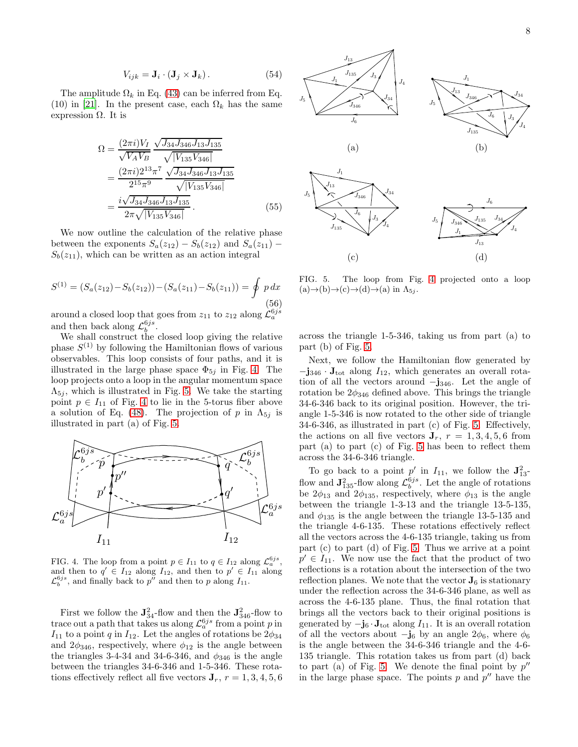$$
V_{ijk} = \mathbf{J}_i \cdot (\mathbf{J}_j \times \mathbf{J}_k). \tag{54}
$$

The amplitude  $\Omega_k$  in Eq. [\(43\)](#page-4-3) can be inferred from Eq. (10) in [\[21\]](#page-12-16). In the present case, each  $\Omega_k$  has the same expression  $Ω$ . It is

<span id="page-7-2"></span>
$$
\Omega = \frac{(2\pi i)V_I}{\sqrt{V_A V_B}} \frac{\sqrt{J_{34} J_{346} J_{13} J_{135}}}{\sqrt{|V_{135} V_{346}|}} \n= \frac{(2\pi i)2^{13} \pi^7}{2^{15} \pi^9} \frac{\sqrt{J_{34} J_{346} J_{13} J_{135}}}{\sqrt{|V_{135} V_{346}|}} \n= \frac{i\sqrt{J_{34} J_{346} J_{13} J_{135}}}{2\pi \sqrt{|V_{135} V_{346}|}}.
$$
\n(55)

We now outline the calculation of the relative phase between the exponents  $S_a(z_{12}) - S_b(z_{12})$  and  $S_a(z_{11})$  –  $S_b(z_{11})$ , which can be written as an action integral

$$
S^{(1)} = (S_a(z_{12}) - S_b(z_{12})) - (S_a(z_{11}) - S_b(z_{11})) = \oint p \, dx
$$
  
around a closed loop that goes from  $z_{11}$  to  $z_{12}$  along  $\mathcal{L}_a^{6j s}$ 

and then back along  $\mathcal{L}_b^{6js}$ . We shall construct the closed loop giving the relative phase  $S^{(1)}$  by following the Hamiltonian flows of various observables. This loop consists of four paths, and it is illustrated in the large phase space  $\Phi_{5j}$  in Fig. [4.](#page-7-0) The loop projects onto a loop in the angular momentum space  $\Lambda_{5j}$ , which is illustrated in Fig. [5.](#page-7-1) We take the starting point  $p \in I_{11}$  of Fig. [4](#page-7-0) to lie in the 5-torus fiber above a solution of Eq. [\(48\)](#page-5-2). The projection of p in  $\Lambda_{5j}$  is illustrated in part (a) of Fig. [5.](#page-7-1)



<span id="page-7-0"></span>FIG. 4. The loop from a point  $p \in I_{11}$  to  $q \in I_{12}$  along  $\mathcal{L}_a^{6js}$ , and then to  $q' \in I_{12}$  along  $I_{12}$ , and then to  $p' \in I_{11}$  along  $\mathcal{L}_b^{6js}$ , and finally back to p'' and then to p along  $I_{11}$ .

First we follow the  $\mathbf{J}_{34}^2$ -flow and then the  $\mathbf{J}_{346}^2$ -flow to trace out a path that takes us along  $\mathcal{L}_a^{6js}$  from a point p in  $I_{11}$  to a point q in  $I_{12}$ . Let the angles of rotations be  $2\phi_{34}$ and  $2\phi_{346}$ , respectively, where  $\phi_{12}$  is the angle between the triangles 3-4-34 and 34-6-346, and  $\phi_{346}$  is the angle between the triangles 34-6-346 and 1-5-346. These rotations effectively reflect all five vectors  $\mathbf{J}_r$ ,  $r = 1, 3, 4, 5, 6$ 



<span id="page-7-1"></span>FIG. 5. The loop from Fig. [4](#page-7-0) projected onto a loop  $(a) \rightarrow (b) \rightarrow (c) \rightarrow (d) \rightarrow (a)$  in  $\Lambda_{5j}$ .

across the triangle 1-5-346, taking us from part (a) to part (b) of Fig. [5.](#page-7-1)

Next, we follow the Hamiltonian flow generated by  $-j_{346}$  · J<sub>tot</sub> along  $I_{12}$ , which generates an overall rotation of all the vectors around  $-j_{346}$ . Let the angle of rotation be  $2\phi_{346}$  defined above. This brings the triangle 34-6-346 back to its original position. However, the triangle 1-5-346 is now rotated to the other side of triangle 34-6-346, as illustrated in part (c) of Fig. [5.](#page-7-1) Effectively, the actions on all five vectors  $J_r$ ,  $r = 1, 3, 4, 5, 6$  from part (a) to part (c) of Fig. [5](#page-7-1) has been to reflect them across the 34-6-346 triangle.

To go back to a point  $p'$  in  $I_{11}$ , we follow the  $\mathbf{J}_{13}^2$ flow and  $\mathbf{J}_{135}^2$ -flow along  $\mathcal{L}_b^{6js}$ . Let the angle of rotations be  $2\phi_{13}$  and  $2\phi_{135}$ , respectively, where  $\phi_{13}$  is the angle between the triangle 1-3-13 and the triangle 13-5-135, and  $\phi_{135}$  is the angle between the triangle 13-5-135 and the triangle 4-6-135. These rotations effectively reflect all the vectors across the 4-6-135 triangle, taking us from part (c) to part (d) of Fig. [5.](#page-7-1) Thus we arrive at a point  $p' \in I_{11}$ . We now use the fact that the product of two reflections is a rotation about the intersection of the two reflection planes. We note that the vector  $J_6$  is stationary under the reflection across the 34-6-346 plane, as well as across the 4-6-135 plane. Thus, the final rotation that brings all the vectors back to their original positions is generated by  $-j_6 \cdot J_{\text{tot}}$  along  $I_{11}$ . It is an overall rotation of all the vectors about  $-\mathbf{j}_6$  by an angle  $2\phi_6$ , where  $\phi_6$ is the angle between the 34-6-346 triangle and the 4-6- 135 triangle. This rotation takes us from part (d) back to part (a) of Fig. [5.](#page-7-1) We denote the final point by  $p''$ in the large phase space. The points  $p$  and  $p''$  have the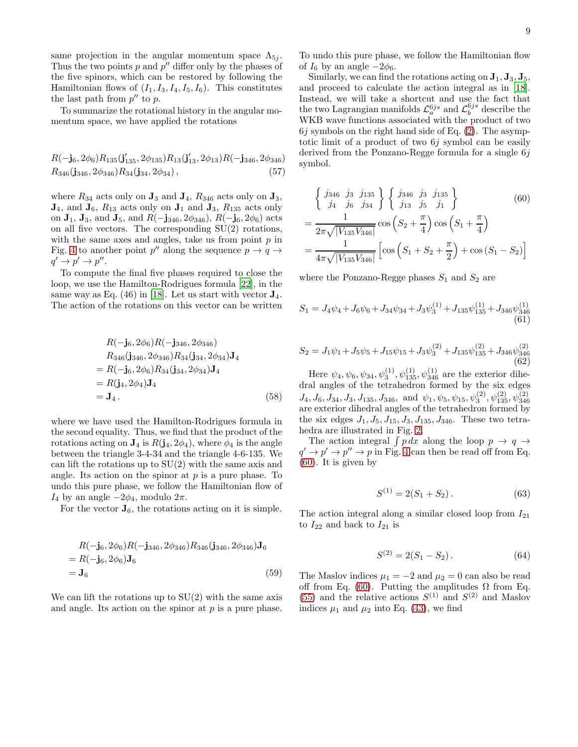same projection in the angular momentum space  $\Lambda_{5i}$ . Thus the two points  $p$  and  $p''$  differ only by the phases of the five spinors, which can be restored by following the Hamiltonian flows of  $(I_1, I_3, I_4, I_5, I_6)$ . This constitutes the last path from  $p''$  to  $p$ .

To summarize the rotational history in the angular momentum space, we have applied the rotations

$$
R(-j6, 2\phi6)R135(j'135, 2\phi135)R13(j'13, 2\phi13)R(-j346, 2\phi346)R346(j346, 2\phi346)R34(j34, 2\phi34),
$$
 (57)

where  $R_{34}$  acts only on  $\mathbf{J}_3$  and  $\mathbf{J}_4$ ,  $R_{346}$  acts only on  $\mathbf{J}_3$ ,  $\mathbf{J}_4$ , and  $\mathbf{J}_6$ ,  $R_{13}$  acts only on  $\mathbf{J}_1$  and  $\mathbf{J}_3$ ,  $R_{135}$  acts only on  $J_1$ ,  $J_3$ , and  $J_5$ , and  $R(-j_{346}, 2\phi_{346})$ ,  $R(-j_6, 2\phi_6)$  acts on all five vectors. The corresponding SU(2) rotations, with the same axes and angles, take us from point  $p$  in Fig. [4](#page-7-0) to another point  $p''$  along the sequence  $p \to q \to$  $q' \rightarrow p' \rightarrow p''$ .

To compute the final five phases required to close the loop, we use the Hamilton-Rodrigues formula [\[22\]](#page-12-17), in the same way as Eq.  $(46)$  in [\[18\]](#page-12-12). Let us start with vector  $\mathbf{J}_4$ . The action of the rotations on this vector can be written

$$
R(-j_6, 2\phi_6)R(-j_{346}, 2\phi_{346})
$$
  
\n
$$
R_{346}(j_{346}, 2\phi_{346})R_{34}(j_{34}, 2\phi_{34})J_4
$$
  
\n
$$
= R(-j_6, 2\phi_6)R_{34}(j_{34}, 2\phi_{34})J_4
$$
  
\n
$$
= R(j_4, 2\phi_4)J_4
$$
  
\n
$$
= J_4.
$$
 (58)

where we have used the Hamilton-Rodrigues formula in the second equality. Thus, we find that the product of the rotations acting on  $\mathbf{J}_4$  is  $R(\mathbf{j}_4, 2\phi_4)$ , where  $\phi_4$  is the angle between the triangle 3-4-34 and the triangle 4-6-135. We can lift the rotations up to  $SU(2)$  with the same axis and angle. Its action on the spinor at  $p$  is a pure phase. To undo this pure phase, we follow the Hamiltonian flow of  $I_4$  by an angle  $-2\phi_4$ , modulo  $2\pi$ .

For the vector  $\mathbf{J}_6$ , the rotations acting on it is simple.

$$
R(-j6, 2\phi6)R(-j346, 2\phi346)R346(j346, 2\phi346)J6= R(-j6, 2\phi6)J6
$$
  
= **J**<sub>6</sub> (59)

We can lift the rotations up to  $SU(2)$  with the same axis and angle. Its action on the spinor at  $p$  is a pure phase. To undo this pure phase, we follow the Hamiltonian flow of  $I_6$  by an angle  $-2\phi_6$ .

Similarly, we can find the rotations acting on  $\mathbf{J}_1, \mathbf{J}_3, \mathbf{J}_5$ , and proceed to calculate the action integral as in [\[18\]](#page-12-12). Instead, we will take a shortcut and use the fact that the two Lagrangian manifolds  $\mathcal{L}_a^{6js}$  and  $\mathcal{L}_b^{6js}$  describe the WKB wave functions associated with the product of two  $6j$  symbols on the right hand side of Eq.  $(2)$ . The asymptotic limit of a product of two  $6j$  symbol can be easily derived from the Ponzano-Regge formula for a single 6j symbol.

<span id="page-8-0"></span>
$$
\begin{aligned}\n&\begin{cases}\nj_{346} & j_3 \ j_{135} \\
j_4 \ j_6 \ j_{34}\n\end{cases} \begin{cases}\nj_{346} & j_3 \ j_{135} \\
j_{13} \ j_5 \ j_1\n\end{cases}\n\end{aligned}\n\tag{60}\n\\
&= \frac{1}{2\pi\sqrt{|V_{135}V_{346}|}} \cos\left(S_2 + \frac{\pi}{4}\right) \cos\left(S_1 + \frac{\pi}{4}\right)\n\\
&= \frac{1}{4\pi\sqrt{|V_{135}V_{346}|}} \left[\cos\left(S_1 + S_2 + \frac{\pi}{2}\right) + \cos\left(S_1 - S_2\right)\right]\n\end{aligned}
$$

where the Ponzano-Regge phases  $S_1$  and  $S_2$  are

<span id="page-8-1"></span>
$$
S_1 = J_4\psi_4 + J_6\psi_6 + J_{34}\psi_{34} + J_3\psi_3^{(1)} + J_{135}\psi_{135}^{(1)} + J_{346}\psi_{346}^{(1)}\tag{61}
$$

<span id="page-8-2"></span>
$$
S_2 = J_1 \psi_1 + J_5 \psi_5 + J_{15} \psi_{15} + J_3 \psi_3^{(2)} + J_{135} \psi_{135}^{(2)} + J_{346} \psi_{346}^{(2)} \tag{62}
$$

Here  $\psi_4, \psi_6, \psi_{34}, \psi_3^{(1)}, \psi_{135}^{(1)}, \psi_{346}^{(1)}$  are the exterior dihedral angles of the tetrahedron formed by the six edges  $J_4, J_6, J_{34}, J_3, J_{135}, J_{346}, \text{ and } \psi_1, \psi_5, \psi_{15}, \psi_3^{(2)}, \psi_{135}^{(2)}, \psi_{346}^{(2)}$ <br>are exterior dihedral angles of the tetrahedron formed by the six edges  $J_1, J_5, J_{15}, J_3, J_{135}, J_{346}$ . These two tetrahedra are illustrated in Fig. [2.](#page-6-0)

The action integral  $\int p dx$  along the loop  $p \to q \to q$  $q' \rightarrow p'' \rightarrow p$  in Fig. [4](#page-7-0) can then be read off from Eq. [\(60\)](#page-8-0). It is given by

$$
S^{(1)} = 2(S_1 + S_2). \tag{63}
$$

The action integral along a similar closed loop from  $I_{21}$ to  $I_{22}$  and back to  $I_{21}$  is

$$
S^{(2)} = 2(S_1 - S_2). \tag{64}
$$

The Maslov indices  $\mu_1 = -2$  and  $\mu_2 = 0$  can also be read off from Eq. [\(60\)](#page-8-0). Putting the amplitudes  $\Omega$  from Eq. [\(55\)](#page-7-2) and the relative actions  $S^{(1)}$  and  $S^{(2)}$  and Maslov indices  $\mu_1$  and  $\mu_2$  into Eq. [\(43\)](#page-4-3), we find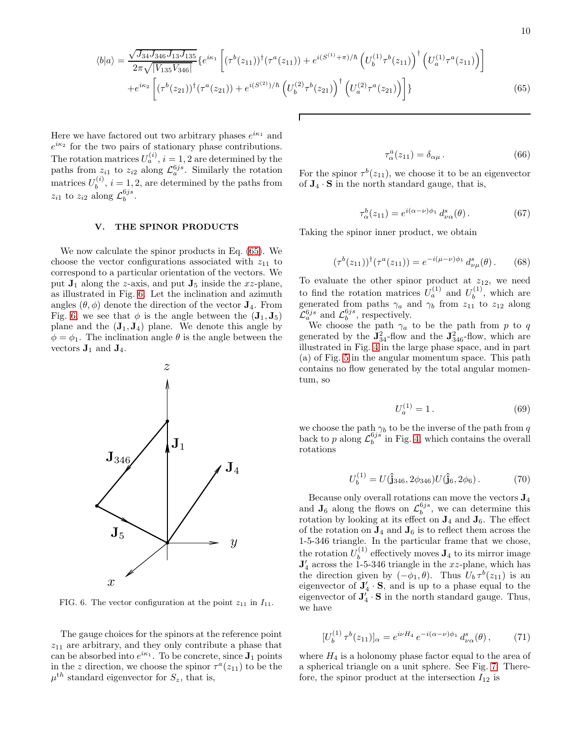<span id="page-9-1"></span>
$$
\langle b|a\rangle = \frac{\sqrt{J_{34}J_{346}J_{13}J_{135}}}{2\pi\sqrt{|V_{135}V_{346}|}} \left\{ e^{i\kappa_1} \left[ (\tau^b(z_{11}))^\dagger (\tau^a(z_{11})) + e^{i(S^{(1)}+\pi)/\hbar} \left( U_b^{(1)} \tau^b(z_{11}) \right)^\dagger \left( U_a^{(1)} \tau^a(z_{11}) \right) \right] \right\} + e^{i\kappa_2} \left[ (\tau^b(z_{21}))^\dagger (\tau^a(z_{21})) + e^{i(S^{(2)})/\hbar} \left( U_b^{(2)} \tau^b(z_{21}) \right)^\dagger \left( U_a^{(2)} \tau^a(z_{21}) \right) \right] \} \tag{65}
$$

Г

Here we have factored out two arbitrary phases  $e^{i\kappa_1}$  and  $e^{i\kappa_2}$  for the two pairs of stationary phase contributions. The rotation matrices  $U_a^{(i)}$ ,  $i = 1, 2$  are determined by the paths from  $z_{i1}$  to  $z_{i2}$  along  $\mathcal{L}_a^{6js}$ . Similarly the rotation matrices  $U_h^{(i)}$  $b^{(i)}$ ,  $i = 1, 2$ , are determined by the paths from  $z_{i1}$  to  $z_{i2}$  along  $\mathcal{L}_b^{6js}$ .

## <span id="page-9-0"></span>V. THE SPINOR PRODUCTS

We now calculate the spinor products in Eq. [\(65\)](#page-9-1). We choose the vector configurations associated with  $z_{11}$  to correspond to a particular orientation of the vectors. We put  $J_1$  along the z-axis, and put  $J_5$  inside the xz-plane, as illustrated in Fig. [6.](#page-9-2) Let the inclination and azimuth angles  $(\theta, \phi)$  denote the direction of the vector  $J_4$ . From Fig. [6,](#page-9-2) we see that  $\phi$  is the angle between the  $({\bf J}_1, {\bf J}_5)$ plane and the  $(\mathbf{J}_1, \mathbf{J}_4)$  plane. We denote this angle by  $\phi = \phi_1$ . The inclination angle  $\theta$  is the angle between the vectors  $\mathbf{J}_1$  and  $\mathbf{J}_4$ .



<span id="page-9-2"></span>FIG. 6. The vector configuration at the point  $z_{11}$  in  $I_{11}$ .

The gauge choices for the spinors at the reference point  $z_{11}$  are arbitrary, and they only contribute a phase that can be absorbed into  $e^{i\kappa_1}$ . To be concrete, since  $J_1$  points in the z direction, we choose the spinor  $\tau^a(z_{11})$  to be the  $\mu^{th}$  standard eigenvector for  $S_z$ , that is,

$$
\tau_\alpha^a(z_{11}) = \delta_{\alpha\mu} \,. \tag{66}
$$

For the spinor  $\tau^{b}(z_{11})$ , we choose it to be an eigenvector of  $J_4 \cdot S$  in the north standard gauge, that is,

$$
\tau_\alpha^b(z_{11}) = e^{i(\alpha - \nu)\phi_1} d^s_{\nu\alpha}(\theta).
$$
 (67)

Taking the spinor inner product, we obtain

<span id="page-9-3"></span>
$$
(\tau^b(z_{11}))^{\dagger}(\tau^a(z_{11})) = e^{-i(\mu-\nu)\phi_1} d^s_{\nu\mu}(\theta).
$$
 (68)

To evaluate the other spinor product at  $z_{12}$ , we need to find the rotation matrices  $U_a^{(1)}$  and  $U_b^{(1)}$  $b^{(1)}$ , which are generated from paths  $\gamma_a$  and  $\gamma_b$  from  $z_{11}$  to  $z_{12}$  along  $\mathcal{L}_a^{6js}$  and  $\mathcal{L}_b^{6js}$ , respectively.

We choose the path  $\gamma_a$  to be the path from p to q generated by the  $\mathbf{J}_{34}^2$ -flow and the  $\mathbf{J}_{346}^2$ -flow, which are illustrated in Fig. [4](#page-7-0) in the large phase space, and in part (a) of Fig. [5](#page-7-1) in the angular momentum space. This path contains no flow generated by the total angular momentum, so

$$
U_a^{(1)} = 1.
$$
\n(69)

we choose the path  $\gamma_b$  to be the inverse of the path from q back to p along  $\mathcal{L}_b^{6js}$  in Fig. [4,](#page-7-0) which contains the overall rotations

$$
U_b^{(1)} = U(\hat{\mathbf{j}}_{346}, 2\phi_{346}) U(\hat{\mathbf{j}}_6, 2\phi_6) \,. \tag{70}
$$

Because only overall rotations can move the vectors J<sup>4</sup> and  $J_6$  along the flows on  $\mathcal{L}_b^{6js}$ , we can determine this rotation by looking at its effect on  $J_4$  and  $J_6$ . The effect of the rotation on  $J_4$  and  $J_6$  is to reflect them across the 1-5-346 triangle. In the particular frame that we chose, the rotation  $U_b^{(1)}$  $b<sub>b</sub>$ <sup>(1)</sup> effectively moves  $\mathbf{J}_4$  to its mirror image  $J'_{4}$  across the 1-5-346 triangle in the xz-plane, which has the direction given by  $(-\phi_1, \theta)$ . Thus  $U_b \tau^b(z_{11})$  is an eigenvector of  $\mathbf{J}'_4 \cdot \mathbf{S}$ , and is up to a phase equal to the eigenvector of  $\mathbf{J}'_4 \cdot \mathbf{S}$  in the north standard gauge. Thus, we have

$$
[U_b^{(1)} \tau^b(z_{11})]_{\alpha} = e^{i\nu H_4} e^{-i(\alpha - \nu)\phi_1} d^s_{\nu \alpha}(\theta), \qquad (71)
$$

where  $H_4$  is a holonomy phase factor equal to the area of a spherical triangle on a unit sphere. See Fig. [7.](#page-10-1) Therefore, the spinor product at the intersection  $I_{12}$  is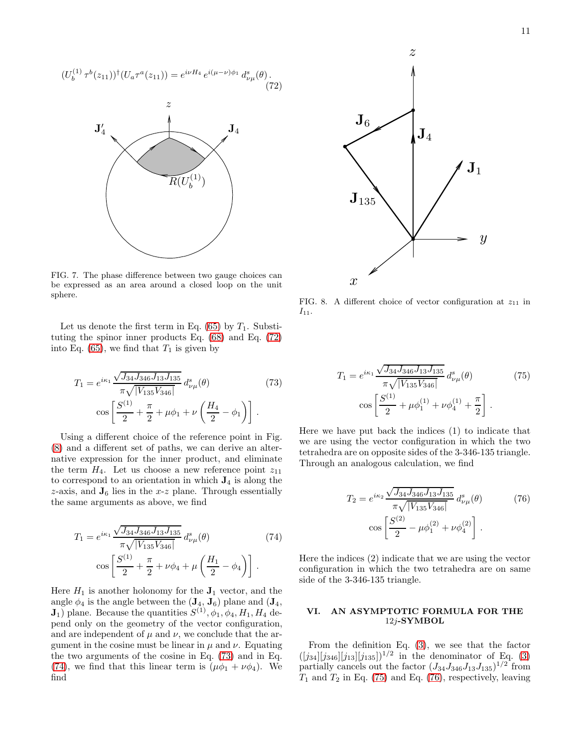<span id="page-10-2"></span>
$$
(U_b^{(1)} \tau^b(z_{11}))^{\dagger} (U_a \tau^a(z_{11})) = e^{i\nu H_4} e^{i(\mu - \nu)\phi_1} d_{\nu\mu}^s(\theta).
$$
\n
$$
U_4
$$
\n
$$
R(U_b^{(1)})
$$
\n
$$
U_b
$$
\n
$$
U_b
$$
\n
$$
U_b
$$
\n
$$
U_b
$$
\n
$$
U_b
$$

<span id="page-10-1"></span>FIG. 7. The phase difference between two gauge choices can be expressed as an area around a closed loop on the unit sphere.

Let us denote the first term in Eq.  $(65)$  by  $T_1$ . Substituting the spinor inner products Eq. [\(68\)](#page-9-3) and Eq. [\(72\)](#page-10-2) into Eq. [\(65\)](#page-9-1), we find that  $T_1$  is given by

<span id="page-10-4"></span>
$$
T_1 = e^{i\kappa_1} \frac{\sqrt{J_{34} J_{346} J_{13} J_{135}}}{\pi \sqrt{|V_{135} V_{346}|}} d^s_{\nu\mu}(\theta)
$$
(73)  

$$
\cos \left[ \frac{S^{(1)}}{2} + \frac{\pi}{2} + \mu \phi_1 + \nu \left( \frac{H_4}{2} - \phi_1 \right) \right].
$$

Using a different choice of the reference point in Fig. [\(8\)](#page-10-3) and a different set of paths, we can derive an alternative expression for the inner product, and eliminate the term  $H_4$ . Let us choose a new reference point  $z_{11}$ to correspond to an orientation in which  $J_4$  is along the  $z$ -axis, and  $\mathbf{J}_6$  lies in the  $x$ - $z$  plane. Through essentially the same arguments as above, we find

<span id="page-10-5"></span>
$$
T_1 = e^{i\kappa_1} \frac{\sqrt{J_{34} J_{346} J_{13} J_{135}}}{\pi \sqrt{|V_{135} V_{346}|}} d^s_{\nu\mu}(\theta)
$$
(74)  

$$
\cos \left[ \frac{S^{(1)}}{2} + \frac{\pi}{2} + \nu \phi_4 + \mu \left( \frac{H_1}{2} - \phi_4 \right) \right].
$$

Here  $H_1$  is another holonomy for the  $J_1$  vector, and the angle  $\phi_4$  is the angle between the  $(\mathbf{J}_4, \mathbf{J}_6)$  plane and  $(\mathbf{J}_4, \mathbf{J}_6)$  $J_1$ ) plane. Because the quantities  $S^{(1)}, \phi_1, \phi_4, H_1, H_4$  depend only on the geometry of the vector configuration, and are independent of  $\mu$  and  $\nu$ , we conclude that the argument in the cosine must be linear in  $\mu$  and  $\nu$ . Equating the two arguments of the cosine in Eq. [\(73\)](#page-10-4) and in Eq. [\(74\)](#page-10-5), we find that this linear term is  $(\mu \phi_1 + \nu \phi_4)$ . We find



<span id="page-10-3"></span>FIG. 8. A different choice of vector configuration at  $z_{11}$  in  $I_{11}$ .

<span id="page-10-6"></span>
$$
T_1 = e^{i\kappa_1} \frac{\sqrt{J_{34} J_{346} J_{13} J_{135}}}{\pi \sqrt{|V_{135} V_{346}|}} d^s_{\nu\mu}(\theta)
$$
(75)  

$$
\cos \left[ \frac{S^{(1)}}{2} + \mu \phi_1^{(1)} + \nu \phi_4^{(1)} + \frac{\pi}{2} \right].
$$

Here we have put back the indices (1) to indicate that we are using the vector configuration in which the two tetrahedra are on opposite sides of the 3-346-135 triangle. Through an analogous calculation, we find

<span id="page-10-7"></span>
$$
T_2 = e^{i\kappa_2} \frac{\sqrt{J_{34} J_{346} J_{13} J_{135}}}{\pi \sqrt{|V_{135} V_{346}|}} d^s_{\nu\mu}(\theta)
$$
(76)  

$$
\cos \left[ \frac{S^{(2)}}{2} - \mu \phi_1^{(2)} + \nu \phi_4^{(2)} \right].
$$

Here the indices (2) indicate that we are using the vector configuration in which the two tetrahedra are on same side of the 3-346-135 triangle.

## <span id="page-10-0"></span>VI. AN ASYMPTOTIC FORMULA FOR THE 12j-SYMBOL

From the definition Eq. [\(3\)](#page-1-6), we see that the factor  $([j_{34}][j_{346}][j_{13}][j_{135}])^{1/2}$  in the denominator of Eq. [\(3\)](#page-1-6) partially cancels out the factor  $(J_{34}J_{346}J_{13}J_{135})^{1/2}$  from  $T_1$  and  $T_2$  in Eq. [\(75\)](#page-10-6) and Eq. [\(76\)](#page-10-7), respectively, leaving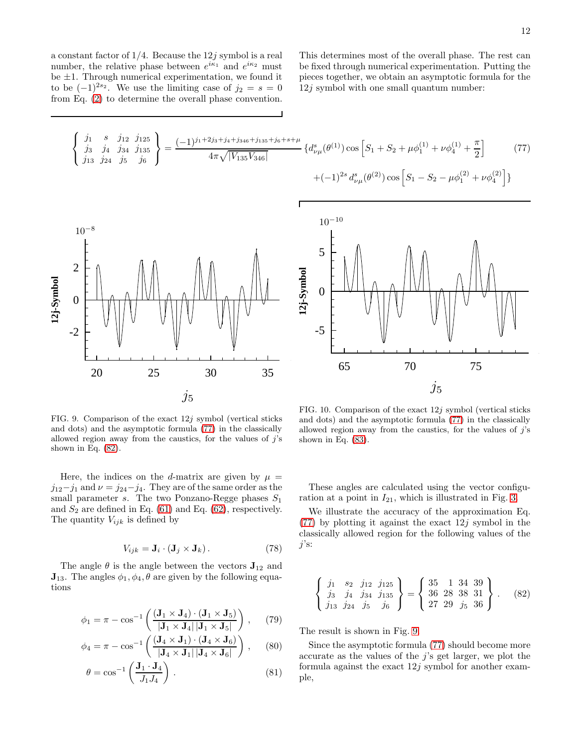a constant factor of  $1/4$ . Because the  $12j$  symbol is a real number, the relative phase between  $e^{i\kappa_1}$  and  $e^{i\kappa_2}$  must be  $\pm 1$ . Through numerical experimentation, we found it to be  $(-1)^{2s_2}$ . We use the limiting case of  $j_2 = s = 0$ from Eq. [\(2\)](#page-1-1) to determine the overall phase convention. This determines most of the overall phase. The rest can be fixed through numerical experimentation. Putting the pieces together, we obtain an asymptotic formula for the 12j symbol with one small quantum number:

<span id="page-11-0"></span>
$$
\begin{Bmatrix}\nj_1 & s & j_{12} & j_{125} \\
j_3 & j_4 & j_{34} & j_{35} \\
j_{13} & j_{24} & j_5 & j_6\n\end{Bmatrix} = \frac{(-1)^{j_1+2j_3+j_4+j_{346}+j_{135}+j_6+s+\mu}}{4\pi\sqrt{|V_{135}V_{346}|}} \{d^s_{\nu\mu}(\theta^{(1)})\cos\left[S_1+S_2+\mu\phi_1^{(1)}+\nu\phi_4^{(1)}+\frac{\pi}{2}\right] \tag{77}
$$
\n
$$
+(-1)^{2s} d^s_{\nu\mu}(\theta^{(2)})\cos\left[S_1-S_2-\mu\phi_1^{(2)}+\nu\phi_4^{(2)}\right]\}
$$
\n
$$
10^{-8}
$$
\n
$$
10^{-10}
$$
\n
$$
10^{-10}
$$
\n
$$
-2
$$
\n
$$
-2
$$
\n
$$
-2
$$
\n
$$
-2
$$
\n
$$
-3
$$
\n
$$
-3
$$
\n
$$
-3
$$
\n
$$
-5
$$
\n
$$
-5
$$
\n
$$
-5
$$
\n
$$
-5
$$
\n
$$
-5
$$
\n
$$
-5
$$
\n
$$
-5
$$
\n
$$
-5
$$
\n
$$
-5
$$
\n
$$
-5
$$
\n
$$
-5
$$
\n
$$
-5
$$
\n
$$
-5
$$
\n
$$
-5
$$
\n
$$
-5
$$
\n
$$
-5
$$
\n
$$
-5
$$
\n
$$
-5
$$
\n
$$
-5
$$
\n
$$
-5
$$
\n
$$
-5
$$
\n
$$
-5
$$
\n
$$
-5
$$
\n
$$
-5
$$
\n
$$
-5
$$
\n
$$
-5
$$
\n
$$
-5
$$
\n
$$
-5
$$
\n
$$
-5
$$
\n
$$
-5
$$
\n
$$
-5
$$

<span id="page-11-2"></span>FIG. 9. Comparison of the exact  $12j$  symbol (vertical sticks and dots) and the asymptotic formula [\(77\)](#page-11-0) in the classically allowed region away from the caustics, for the values of  $j$ 's shown in Eq.  $(82)$ .

Here, the indices on the d-matrix are given by  $\mu =$  $j_{12}-j_1$  and  $\nu = j_{24}-j_4$ . They are of the same order as the small parameter s. The two Ponzano-Regge phases  $S_1$ and  $S_2$  are defined in Eq. [\(61\)](#page-8-1) and Eq. [\(62\)](#page-8-2), respectively. The quantity  $V_{ijk}$  is defined by

$$
V_{ijk} = \mathbf{J}_i \cdot (\mathbf{J}_j \times \mathbf{J}_k). \tag{78}
$$

The angle  $\theta$  is the angle between the vectors  $J_{12}$  and  $\mathbf{J}_{13}$ . The angles  $\phi_1, \phi_4, \theta$  are given by the following equations

$$
\phi_1 = \pi - \cos^{-1}\left(\frac{(\mathbf{J}_1 \times \mathbf{J}_4) \cdot (\mathbf{J}_1 \times \mathbf{J}_5)}{|\mathbf{J}_1 \times \mathbf{J}_4||\mathbf{J}_1 \times \mathbf{J}_5|}\right), \quad (79)
$$

$$
\phi_4 = \pi - \cos^{-1}\left(\frac{(\mathbf{J}_4 \times \mathbf{J}_1) \cdot (\mathbf{J}_4 \times \mathbf{J}_6)}{|\mathbf{J}_4 \times \mathbf{J}_1||\mathbf{J}_4 \times \mathbf{J}_6|}\right), \quad (80)
$$

$$
\theta = \cos^{-1}\left(\frac{\mathbf{J}_1 \cdot \mathbf{J}_4}{J_1 J_4}\right). \tag{81}
$$

<span id="page-11-3"></span>FIG. 10. Comparison of the exact 12j symbol (vertical sticks and dots) and the asymptotic formula [\(77\)](#page-11-0) in the classically allowed region away from the caustics, for the values of  $j$ 's shown in Eq. [\(83\)](#page-12-18).

These angles are calculated using the vector configuration at a point in  $I_{21}$ , which is illustrated in Fig. [3.](#page-6-1)

We illustrate the accuracy of the approximation Eq. [\(77\)](#page-11-0) by plotting it against the exact  $12j$  symbol in the classically allowed region for the following values of the  $j$ 's:

<span id="page-11-1"></span>
$$
\begin{Bmatrix} j_1 & s_2 & j_{12} & j_{125} \\ j_3 & j_4 & j_{34} & j_{135} \\ j_{13} & j_{24} & j_5 & j_6 \end{Bmatrix} = \begin{Bmatrix} 35 & 1 & 34 & 39 \\ 36 & 28 & 38 & 31 \\ 27 & 29 & j_5 & 36 \end{Bmatrix}.
$$
 (82)

The result is shown in Fig. [9.](#page-11-2)

Since the asymptotic formula [\(77\)](#page-11-0) should become more accurate as the values of the  $j$ 's get larger, we plot the formula against the exact  $12j$  symbol for another example,